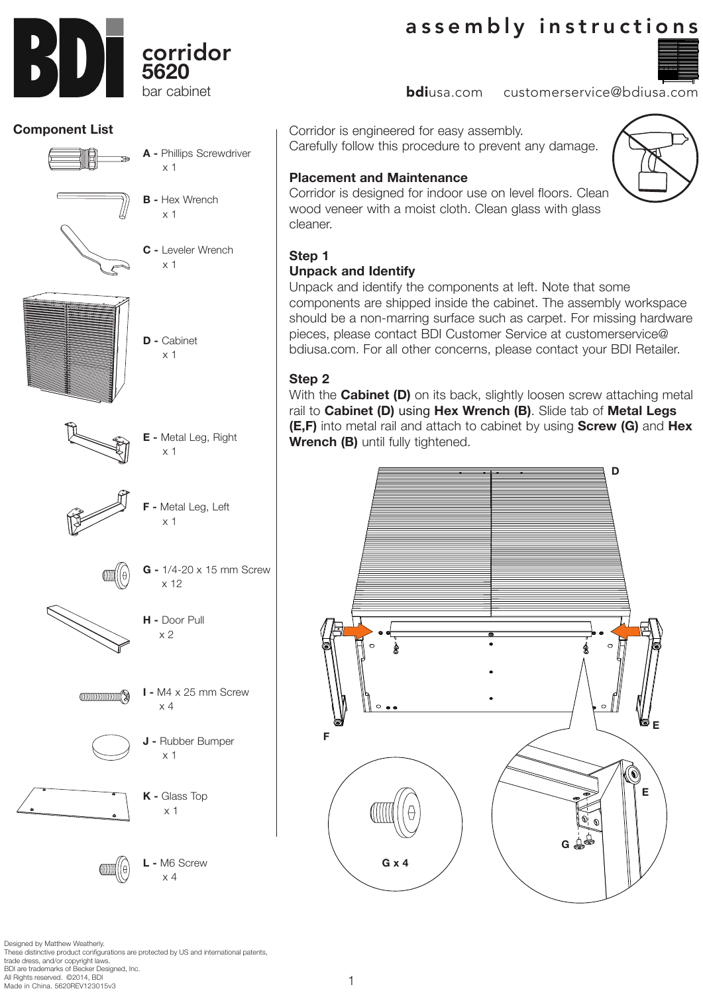Designed by Matthew Weatherly. These distinctive product configurations are protected by US and international patents, trade dress, and/or copyright laws. BDI are trademarks of Becker Designed, Inc. All Rights reserved. ©2014, BDI Made in China. 5620REV123015v3

# assembly instructions

**bdi**usa.com customerservice@bdiusa.com

Corridor is engineered for easy assembly. Carefully follow this procedure to prevent any damage.

## **Placement and Maintenance**

Corridor is designed for indoor use on level floors. Clean wood veneer with a moist cloth. Clean glass with glass cleaner.

## **Step 1**

## **Unpack and Identify**

1

Unpack and identify the components at left. Note that some components are shipped inside the cabinet. The assembly workspace should be a non-marring surface such as carpet. For missing hardware pieces, please contact BDI Customer Service at customerservice@ bdiusa.com. For all other concerns, please contact your BDI Retailer.

### **Step 2**

With the **Cabinet (D)** on its back, slightly loosen screw attaching metal rail to **Cabinet (D)** using **Hex Wrench (B)**. Slide tab of **Metal Legs (E,F)** into metal rail and attach to cabinet by using **Screw (G)** and **Hex Wrench (B)** until fully tightened.



x 12

**G -** 1/4-20 x 15 mm Screw



- **J** Rubber Bumper x 1
- **K** Glass Top x 1









## **Component List**







**B -** Hex Wrench x 1

x 1

**A -** Phillips Screwdriver

**C -** Leveler Wrench

x 1

**D -** Cabinet x 1



**CONTINUIS**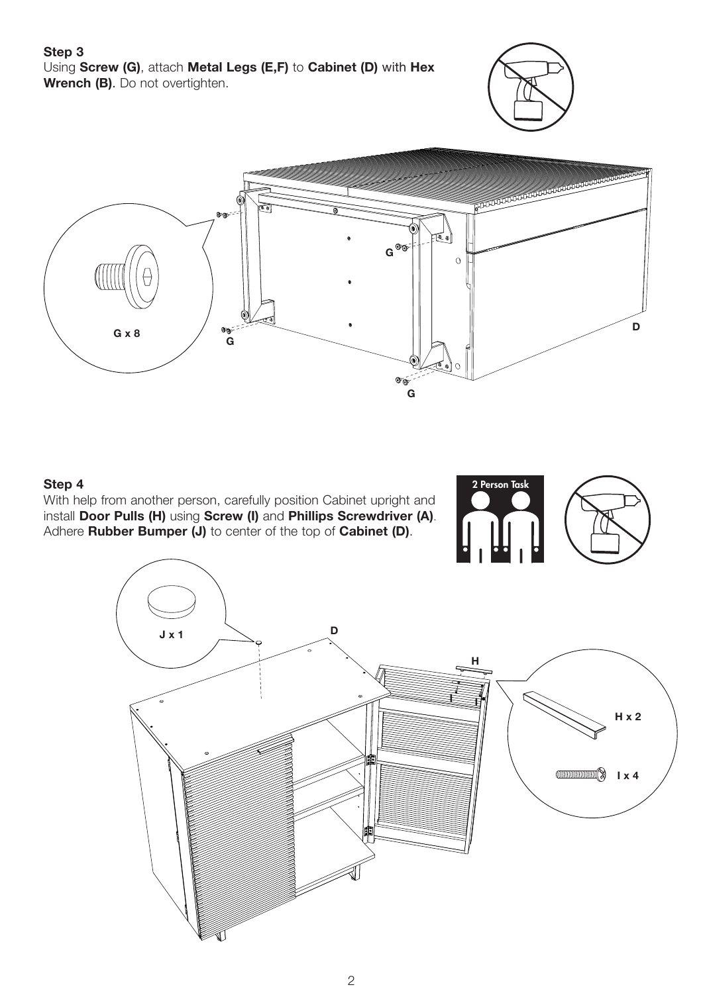#### **Step 3** Using **Screw (G)**, attach **Metal Legs (E,F)** to **Cabinet (D)** with **Hex Wrench (B)**. Do not overtighten.





#### **Step 4**

With help from another person, carefully position Cabinet upright and install **Door Pulls (H)** using **Screw (I)** and **Phillips Screwdriver (A)**. Adhere **Rubber Bumper (J)** to center of the top of **Cabinet (D)**.